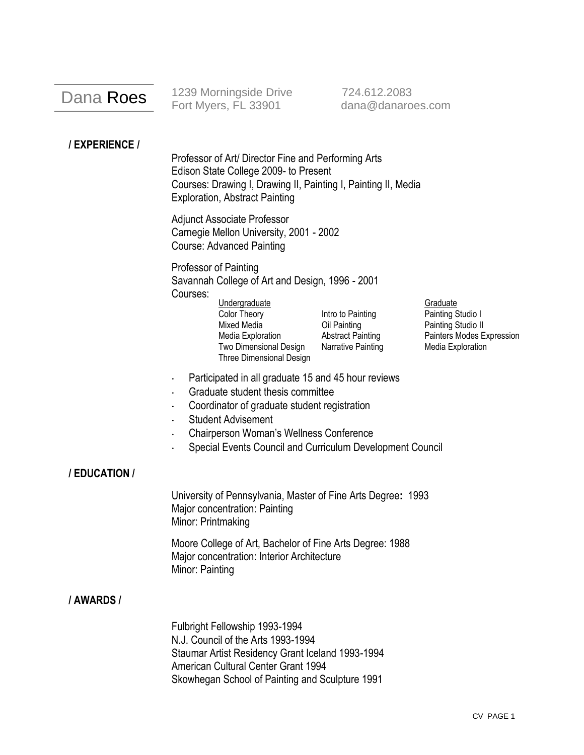# Dana Roes

1239 Morningside Drive 724.612.2083 Fort Myers, FL 33901 dana@danaroes.com

## **/ EXPERIENCE /**

Professor of Art/ Director Fine and Performing Arts Edison State College 2009- to Present Courses: Drawing I, Drawing II, Painting I, Painting II, Media Exploration, Abstract Painting

Adjunct Associate Professor Carnegie Mellon University, 2001 - 2002 Course: Advanced Painting

Professor of Painting Savannah College of Art and Design, 1996 - 2001 Courses:

Undergraduate Graduate Color Theory **Intro to Painting Painting Studio I** Mixed Media **Oil Painting Community** Painting Studio II Two Dimensional Design Narrative Painting Media Exploration Three Dimensional Design

Media Exploration **Abstract Painting Painters Modes Expression** 

- Participated in all graduate 15 and 45 hour reviews
- Graduate student thesis committee
- Coordinator of graduate student registration
- Student Advisement
- Chairperson Woman's Wellness Conference
- Special Events Council and Curriculum Development Council

### **/ EDUCATION /**

University of Pennsylvania, Master of Fine Arts Degree**:** 1993 Major concentration: Painting Minor: Printmaking

Moore College of Art, Bachelor of Fine Arts Degree: 1988 Major concentration: Interior Architecture Minor: Painting

#### **/ AWARDS /**

Fulbright Fellowship 1993-1994 N.J. Council of the Arts 1993-1994 Staumar Artist Residency Grant Iceland 1993-1994 American Cultural Center Grant 1994 Skowhegan School of Painting and Sculpture 1991